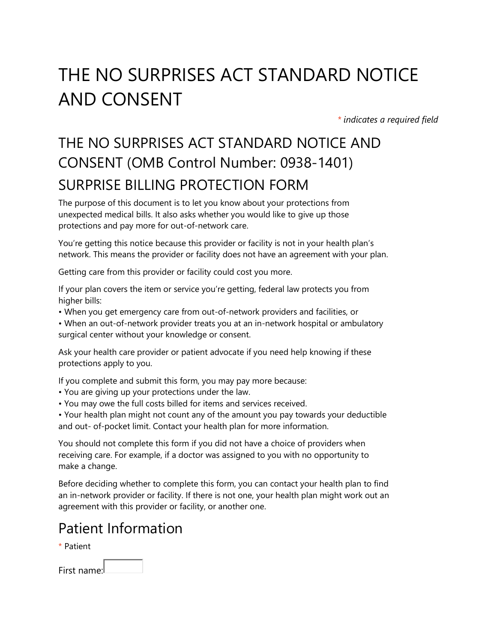# THE NO SURPRISES ACT STANDARD NOTICE AND CONSENT

*\* indicates a required field*

# THE NO SURPRISES ACT STANDARD NOTICE AND CONSENT (OMB Control Number: 0938-1401) SURPRISE BILLING PROTECTION FORM

The purpose of this document is to let you know about your protections from unexpected medical bills. It also asks whether you would like to give up those protections and pay more for out-of-network care.

You're getting this notice because this provider or facility is not in your health plan's network. This means the provider or facility does not have an agreement with your plan.

Getting care from this provider or facility could cost you more.

If your plan covers the item or service you're getting, federal law protects you from higher bills:

- When you get emergency care from out-of-network providers and facilities, or
- When an out-of-network provider treats you at an in-network hospital or ambulatory surgical center without your knowledge or consent.

Ask your health care provider or patient advocate if you need help knowing if these protections apply to you.

If you complete and submit this form, you may pay more because:

- You are giving up your protections under the law.
- You may owe the full costs billed for items and services received.

• Your health plan might not count any of the amount you pay towards your deductible and out- of-pocket limit. Contact your health plan for more information.

You should not complete this form if you did not have a choice of providers when receiving care. For example, if a doctor was assigned to you with no opportunity to make a change.

Before deciding whether to complete this form, you can contact your health plan to find an in-network provider or facility. If there is not one, your health plan might work out an agreement with this provider or facility, or another one.

#### Patient Information

\* Patient

| First name: |  |
|-------------|--|
|             |  |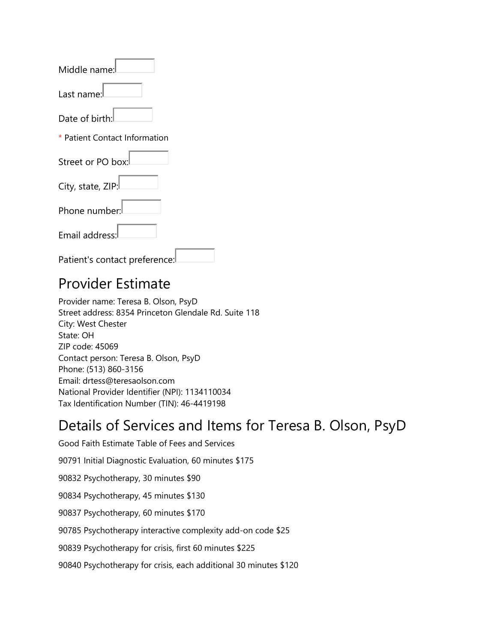| Middle name:                  |  |  |
|-------------------------------|--|--|
| Last name:                    |  |  |
| Date of birth:                |  |  |
| * Patient Contact Information |  |  |
| Street or PO box:             |  |  |
| City, state, ZIP:             |  |  |
| Phone number:                 |  |  |
| Email address:                |  |  |
| Patient's contact preference: |  |  |

#### Provider Estimate

Provider name: Teresa B. Olson, PsyD Street address: 8354 Princeton Glendale Rd. Suite 118 City: West Chester State: OH ZIP code: 45069 Contact person: Teresa B. Olson, PsyD Phone: (513) 860-3156 Email: drtess@teresaolson.com National Provider Identifier (NPI): 1134110034 Tax Identification Number (TIN): 46-4419198

#### Details of Services and Items for Teresa B. Olson, PsyD

Good Faith Estimate Table of Fees and Services 90791 Initial Diagnostic Evaluation, 60 minutes \$175 90832 Psychotherapy, 30 minutes \$90 90834 Psychotherapy, 45 minutes \$130 90837 Psychotherapy, 60 minutes \$170 90785 Psychotherapy interactive complexity add-on code \$25 90839 Psychotherapy for crisis, first 60 minutes \$225 90840 Psychotherapy for crisis, each additional 30 minutes \$120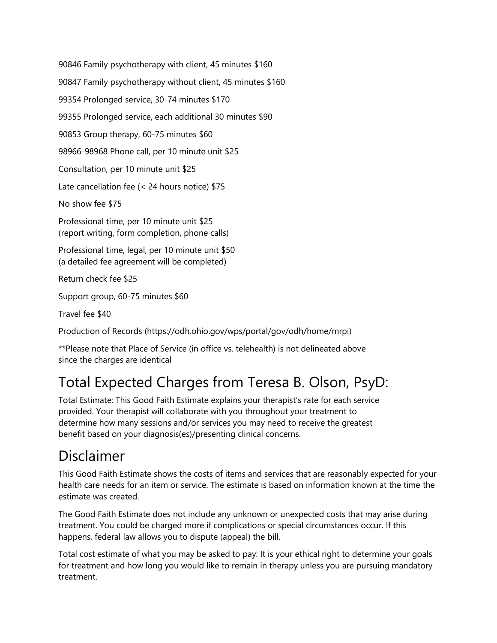90846 Family psychotherapy with client, 45 minutes \$160 90847 Family psychotherapy without client, 45 minutes \$160 99354 Prolonged service, 30-74 minutes \$170 99355 Prolonged service, each additional 30 minutes \$90 90853 Group therapy, 60-75 minutes \$60 98966-98968 Phone call, per 10 minute unit \$25 Consultation, per 10 minute unit \$25 Late cancellation fee (< 24 hours notice) \$75 No show fee \$75 Professional time, per 10 minute unit \$25 (report writing, form completion, phone calls) Professional time, legal, per 10 minute unit \$50 (a detailed fee agreement will be completed) Return check fee \$25 Support group, 60-75 minutes \$60

Travel fee \$40

Production of Records (https://odh.ohio.gov/wps/portal/gov/odh/home/mrpi)

\*\*Please note that Place of Service (in office vs. telehealth) is not delineated above since the charges are identical

## Total Expected Charges from Teresa B. Olson, PsyD:

Total Estimate: This Good Faith Estimate explains your therapist's rate for each service provided. Your therapist will collaborate with you throughout your treatment to determine how many sessions and/or services you may need to receive the greatest benefit based on your diagnosis(es)/presenting clinical concerns.

#### Disclaimer

This Good Faith Estimate shows the costs of items and services that are reasonably expected for your health care needs for an item or service. The estimate is based on information known at the time the estimate was created.

The Good Faith Estimate does not include any unknown or unexpected costs that may arise during treatment. You could be charged more if complications or special circumstances occur. If this happens, federal law allows you to dispute (appeal) the bill.

Total cost estimate of what you may be asked to pay: It is your ethical right to determine your goals for treatment and how long you would like to remain in therapy unless you are pursuing mandatory treatment.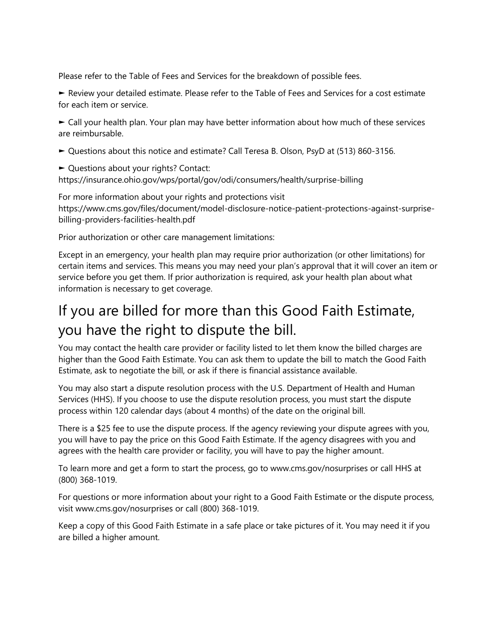Please refer to the Table of Fees and Services for the breakdown of possible fees.

► Review your detailed estimate. Please refer to the Table of Fees and Services for a cost estimate for each item or service.

► Call your health plan. Your plan may have better information about how much of these services are reimbursable.

- ► Questions about this notice and estimate? Call Teresa B. Olson, PsyD at (513) 860-3156.
- ► Questions about your rights? Contact:

https://insurance.ohio.gov/wps/portal/gov/odi/consumers/health/surprise-billing

For more information about your rights and protections visit https://www.cms.gov/files/document/model-disclosure-notice-patient-protections-against-surprisebilling-providers-facilities-health.pdf

Prior authorization or other care management limitations:

Except in an emergency, your health plan may require prior authorization (or other limitations) for certain items and services. This means you may need your plan's approval that it will cover an item or service before you get them. If prior authorization is required, ask your health plan about what information is necessary to get coverage.

## If you are billed for more than this Good Faith Estimate, you have the right to dispute the bill.

You may contact the health care provider or facility listed to let them know the billed charges are higher than the Good Faith Estimate. You can ask them to update the bill to match the Good Faith Estimate, ask to negotiate the bill, or ask if there is financial assistance available.

You may also start a dispute resolution process with the U.S. Department of Health and Human Services (HHS). If you choose to use the dispute resolution process, you must start the dispute process within 120 calendar days (about 4 months) of the date on the original bill.

There is a \$25 fee to use the dispute process. If the agency reviewing your dispute agrees with you, you will have to pay the price on this Good Faith Estimate. If the agency disagrees with you and agrees with the health care provider or facility, you will have to pay the higher amount.

To learn more and get a form to start the process, go to www.cms.gov/nosurprises or call HHS at (800) 368-1019.

For questions or more information about your right to a Good Faith Estimate or the dispute process, visit www.cms.gov/nosurprises or call (800) 368-1019.

Keep a copy of this Good Faith Estimate in a safe place or take pictures of it. You may need it if you are billed a higher amount.